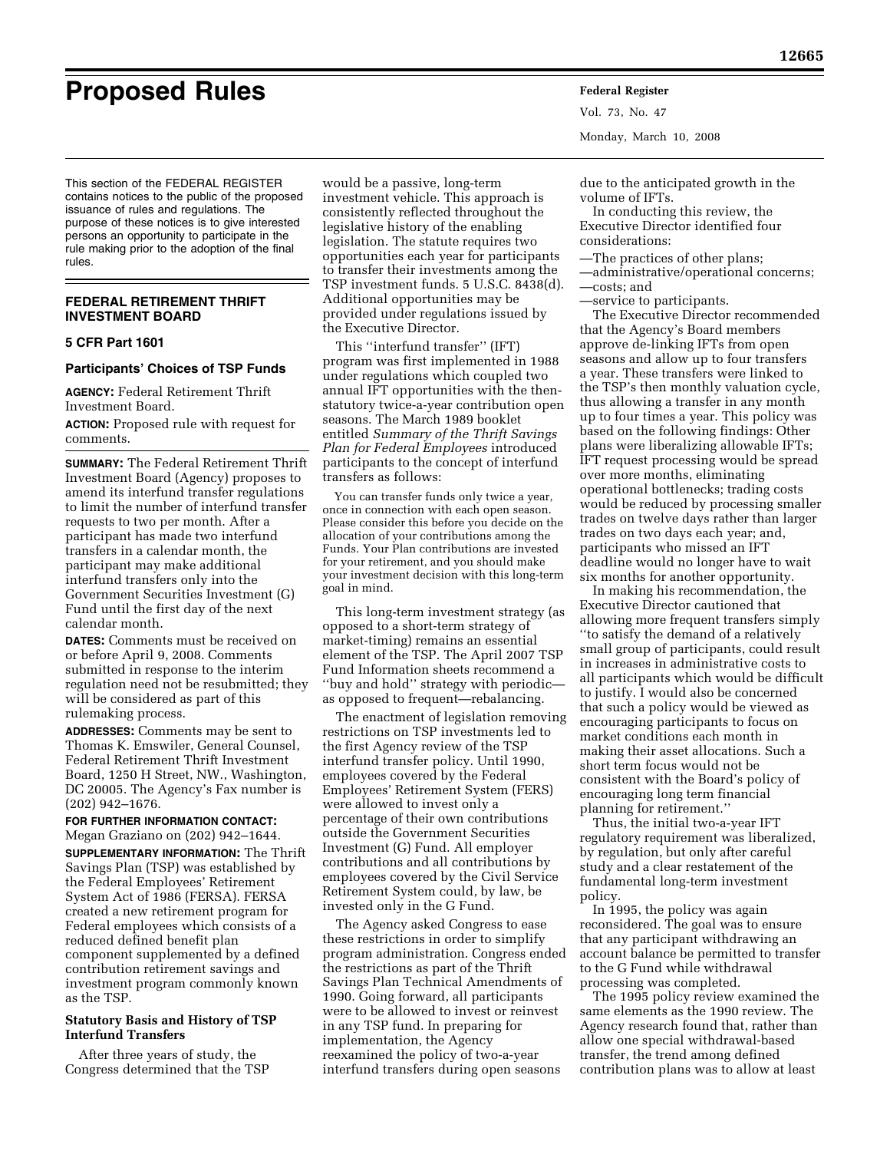# **Proposed Rules Federal Register**

Vol. 73, No. 47 Monday, March 10, 2008

This section of the FEDERAL REGISTER contains notices to the public of the proposed issuance of rules and regulations. The purpose of these notices is to give interested persons an opportunity to participate in the rule making prior to the adoption of the final rules.

# **FEDERAL RETIREMENT THRIFT INVESTMENT BOARD**

## **5 CFR Part 1601**

# **Participants' Choices of TSP Funds**

**AGENCY:** Federal Retirement Thrift Investment Board.

**ACTION:** Proposed rule with request for comments.

**SUMMARY:** The Federal Retirement Thrift Investment Board (Agency) proposes to amend its interfund transfer regulations to limit the number of interfund transfer requests to two per month. After a participant has made two interfund transfers in a calendar month, the participant may make additional interfund transfers only into the Government Securities Investment (G) Fund until the first day of the next calendar month.

**DATES:** Comments must be received on or before April 9, 2008. Comments submitted in response to the interim regulation need not be resubmitted; they will be considered as part of this rulemaking process.

**ADDRESSES:** Comments may be sent to Thomas K. Emswiler, General Counsel, Federal Retirement Thrift Investment Board, 1250 H Street, NW., Washington, DC 20005. The Agency's Fax number is (202) 942–1676.

**FOR FURTHER INFORMATION CONTACT:**  Megan Graziano on (202) 942–1644. **SUPPLEMENTARY INFORMATION:** The Thrift Savings Plan (TSP) was established by the Federal Employees' Retirement System Act of 1986 (FERSA). FERSA created a new retirement program for Federal employees which consists of a reduced defined benefit plan component supplemented by a defined contribution retirement savings and investment program commonly known as the TSP.

# **Statutory Basis and History of TSP Interfund Transfers**

After three years of study, the Congress determined that the TSP

would be a passive, long-term investment vehicle. This approach is consistently reflected throughout the legislative history of the enabling legislation. The statute requires two opportunities each year for participants to transfer their investments among the TSP investment funds. 5 U.S.C. 8438(d). Additional opportunities may be provided under regulations issued by the Executive Director.

This ''interfund transfer'' (IFT) program was first implemented in 1988 under regulations which coupled two annual IFT opportunities with the thenstatutory twice-a-year contribution open seasons. The March 1989 booklet entitled *Summary of the Thrift Savings Plan for Federal Employees* introduced participants to the concept of interfund transfers as follows:

You can transfer funds only twice a year, once in connection with each open season. Please consider this before you decide on the allocation of your contributions among the Funds. Your Plan contributions are invested for your retirement, and you should make your investment decision with this long-term goal in mind.

This long-term investment strategy (as opposed to a short-term strategy of market-timing) remains an essential element of the TSP. The April 2007 TSP Fund Information sheets recommend a ''buy and hold'' strategy with periodic as opposed to frequent—rebalancing.

The enactment of legislation removing restrictions on TSP investments led to the first Agency review of the TSP interfund transfer policy. Until 1990, employees covered by the Federal Employees' Retirement System (FERS) were allowed to invest only a percentage of their own contributions outside the Government Securities Investment (G) Fund. All employer contributions and all contributions by employees covered by the Civil Service Retirement System could, by law, be invested only in the G Fund.

The Agency asked Congress to ease these restrictions in order to simplify program administration. Congress ended the restrictions as part of the Thrift Savings Plan Technical Amendments of 1990. Going forward, all participants were to be allowed to invest or reinvest in any TSP fund. In preparing for implementation, the Agency reexamined the policy of two-a-year interfund transfers during open seasons

due to the anticipated growth in the volume of IFTs.

In conducting this review, the Executive Director identified four considerations:

—The practices of other plans;

—administrative/operational concerns; —costs; and

—service to participants.

The Executive Director recommended that the Agency's Board members approve de-linking IFTs from open seasons and allow up to four transfers a year. These transfers were linked to the TSP's then monthly valuation cycle, thus allowing a transfer in any month up to four times a year. This policy was based on the following findings: Other plans were liberalizing allowable IFTs; IFT request processing would be spread over more months, eliminating operational bottlenecks; trading costs would be reduced by processing smaller trades on twelve days rather than larger trades on two days each year; and, participants who missed an IFT deadline would no longer have to wait six months for another opportunity.

In making his recommendation, the Executive Director cautioned that allowing more frequent transfers simply ''to satisfy the demand of a relatively small group of participants, could result in increases in administrative costs to all participants which would be difficult to justify. I would also be concerned that such a policy would be viewed as encouraging participants to focus on market conditions each month in making their asset allocations. Such a short term focus would not be consistent with the Board's policy of encouraging long term financial planning for retirement.''

Thus, the initial two-a-year IFT regulatory requirement was liberalized, by regulation, but only after careful study and a clear restatement of the fundamental long-term investment policy.

In 1995, the policy was again reconsidered. The goal was to ensure that any participant withdrawing an account balance be permitted to transfer to the G Fund while withdrawal processing was completed.

The 1995 policy review examined the same elements as the 1990 review. The Agency research found that, rather than allow one special withdrawal-based transfer, the trend among defined contribution plans was to allow at least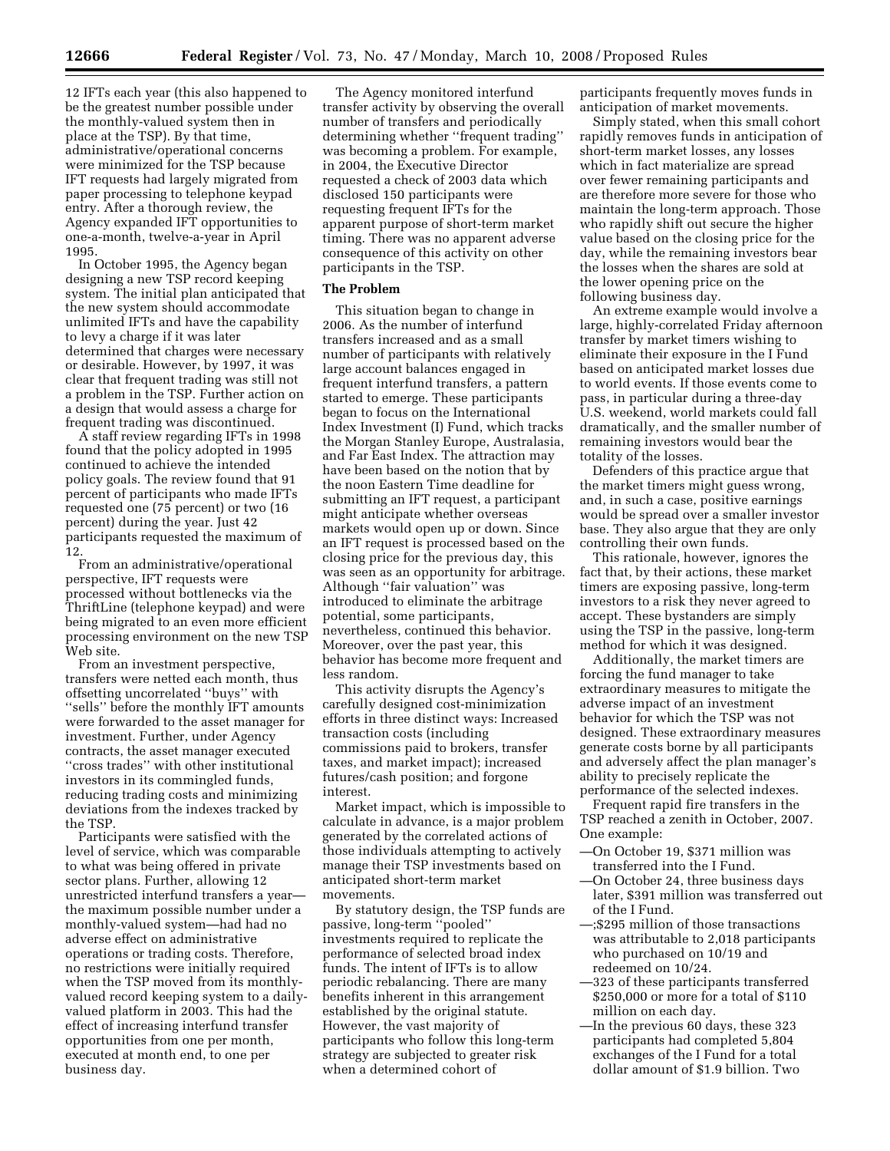12 IFTs each year (this also happened to be the greatest number possible under the monthly-valued system then in place at the TSP). By that time, administrative/operational concerns were minimized for the TSP because IFT requests had largely migrated from paper processing to telephone keypad entry. After a thorough review, the Agency expanded IFT opportunities to one-a-month, twelve-a-year in April 1995.

In October 1995, the Agency began designing a new TSP record keeping system. The initial plan anticipated that the new system should accommodate unlimited IFTs and have the capability to levy a charge if it was later determined that charges were necessary or desirable. However, by 1997, it was clear that frequent trading was still not a problem in the TSP. Further action on a design that would assess a charge for frequent trading was discontinued.

A staff review regarding IFTs in 1998 found that the policy adopted in 1995 continued to achieve the intended policy goals. The review found that 91 percent of participants who made IFTs requested one (75 percent) or two (16 percent) during the year. Just 42 participants requested the maximum of 12.

From an administrative/operational perspective, IFT requests were processed without bottlenecks via the ThriftLine (telephone keypad) and were being migrated to an even more efficient processing environment on the new TSP Web site.

From an investment perspective, transfers were netted each month, thus offsetting uncorrelated ''buys'' with ''sells'' before the monthly IFT amounts were forwarded to the asset manager for investment. Further, under Agency contracts, the asset manager executed ''cross trades'' with other institutional investors in its commingled funds, reducing trading costs and minimizing deviations from the indexes tracked by the TSP.

Participants were satisfied with the level of service, which was comparable to what was being offered in private sector plans. Further, allowing 12 unrestricted interfund transfers a year the maximum possible number under a monthly-valued system—had had no adverse effect on administrative operations or trading costs. Therefore, no restrictions were initially required when the TSP moved from its monthlyvalued record keeping system to a dailyvalued platform in 2003. This had the effect of increasing interfund transfer opportunities from one per month, executed at month end, to one per business day.

The Agency monitored interfund transfer activity by observing the overall number of transfers and periodically determining whether ''frequent trading'' was becoming a problem. For example, in 2004, the Executive Director requested a check of 2003 data which disclosed 150 participants were requesting frequent IFTs for the apparent purpose of short-term market timing. There was no apparent adverse consequence of this activity on other participants in the TSP.

# **The Problem**

This situation began to change in 2006. As the number of interfund transfers increased and as a small number of participants with relatively large account balances engaged in frequent interfund transfers, a pattern started to emerge. These participants began to focus on the International Index Investment (I) Fund, which tracks the Morgan Stanley Europe, Australasia, and Far East Index. The attraction may have been based on the notion that by the noon Eastern Time deadline for submitting an IFT request, a participant might anticipate whether overseas markets would open up or down. Since an IFT request is processed based on the closing price for the previous day, this was seen as an opportunity for arbitrage. Although ''fair valuation'' was introduced to eliminate the arbitrage potential, some participants, nevertheless, continued this behavior. Moreover, over the past year, this behavior has become more frequent and less random.

This activity disrupts the Agency's carefully designed cost-minimization efforts in three distinct ways: Increased transaction costs (including commissions paid to brokers, transfer taxes, and market impact); increased futures/cash position; and forgone interest.

Market impact, which is impossible to calculate in advance, is a major problem generated by the correlated actions of those individuals attempting to actively manage their TSP investments based on anticipated short-term market movements.

By statutory design, the TSP funds are passive, long-term ''pooled'' investments required to replicate the performance of selected broad index funds. The intent of IFTs is to allow periodic rebalancing. There are many benefits inherent in this arrangement established by the original statute. However, the vast majority of participants who follow this long-term strategy are subjected to greater risk when a determined cohort of

participants frequently moves funds in anticipation of market movements.

Simply stated, when this small cohort rapidly removes funds in anticipation of short-term market losses, any losses which in fact materialize are spread over fewer remaining participants and are therefore more severe for those who maintain the long-term approach. Those who rapidly shift out secure the higher value based on the closing price for the day, while the remaining investors bear the losses when the shares are sold at the lower opening price on the following business day.

An extreme example would involve a large, highly-correlated Friday afternoon transfer by market timers wishing to eliminate their exposure in the I Fund based on anticipated market losses due to world events. If those events come to pass, in particular during a three-day U.S. weekend, world markets could fall dramatically, and the smaller number of remaining investors would bear the totality of the losses.

Defenders of this practice argue that the market timers might guess wrong, and, in such a case, positive earnings would be spread over a smaller investor base. They also argue that they are only controlling their own funds.

This rationale, however, ignores the fact that, by their actions, these market timers are exposing passive, long-term investors to a risk they never agreed to accept. These bystanders are simply using the TSP in the passive, long-term method for which it was designed.

Additionally, the market timers are forcing the fund manager to take extraordinary measures to mitigate the adverse impact of an investment behavior for which the TSP was not designed. These extraordinary measures generate costs borne by all participants and adversely affect the plan manager's ability to precisely replicate the performance of the selected indexes.

Frequent rapid fire transfers in the TSP reached a zenith in October, 2007. One example:

- —On October 19, \$371 million was transferred into the I Fund.
- —On October 24, three business days later, \$391 million was transferred out of the I Fund.
- —;\$295 million of those transactions was attributable to 2,018 participants who purchased on 10/19 and redeemed on 10/24.
- —323 of these participants transferred \$250,000 or more for a total of \$110 million on each day.
- —In the previous 60 days, these 323 participants had completed 5,804 exchanges of the I Fund for a total dollar amount of \$1.9 billion. Two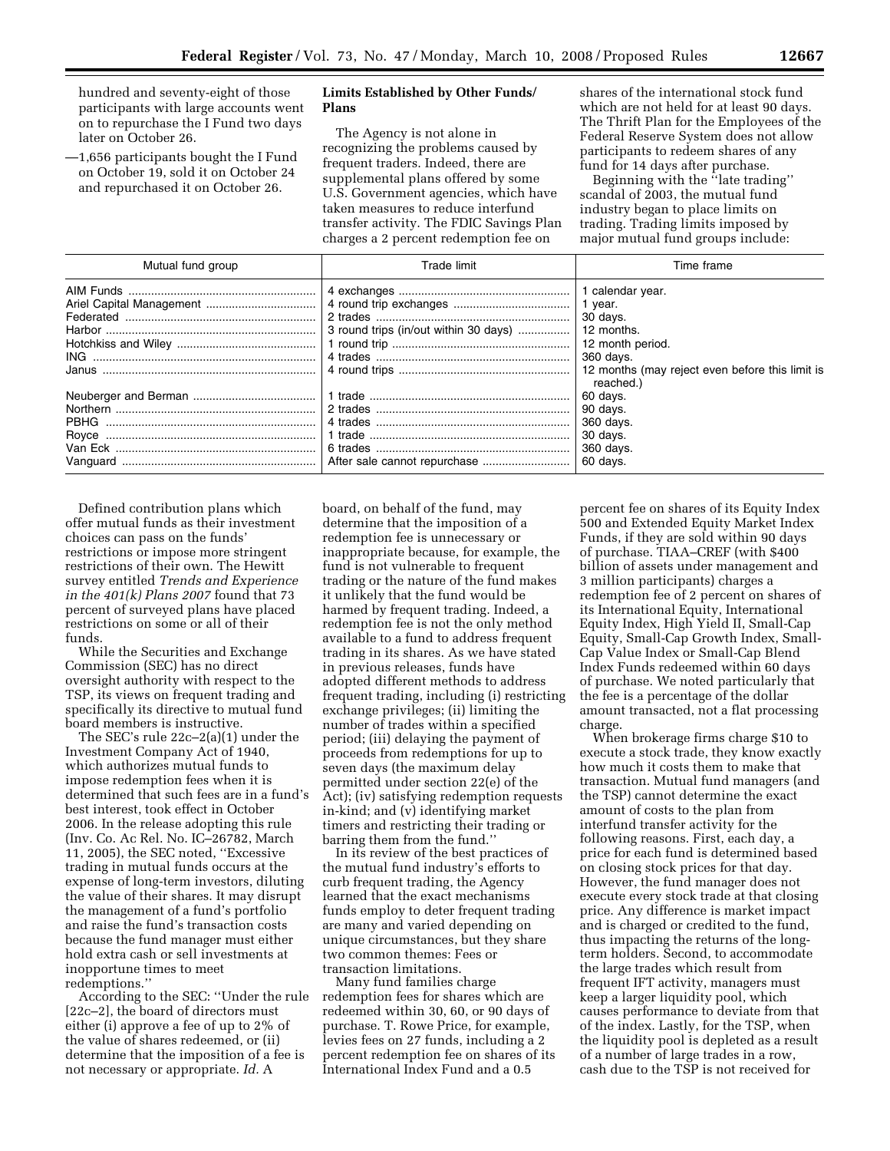hundred and seventy-eight of those participants with large accounts went on to repurchase the I Fund two days later on October 26.

—1,656 participants bought the I Fund on October 19, sold it on October 24 and repurchased it on October 26.

# **Limits Established by Other Funds/ Plans**

The Agency is not alone in recognizing the problems caused by frequent traders. Indeed, there are supplemental plans offered by some U.S. Government agencies, which have taken measures to reduce interfund transfer activity. The FDIC Savings Plan charges a 2 percent redemption fee on

shares of the international stock fund which are not held for at least 90 days. The Thrift Plan for the Employees of the Federal Reserve System does not allow participants to redeem shares of any fund for 14 days after purchase.

Beginning with the ''late trading'' scandal of 2003, the mutual fund industry began to place limits on trading. Trading limits imposed by major mutual fund groups include:

| Mutual fund group | Trade limit                           | Time frame                                                   |
|-------------------|---------------------------------------|--------------------------------------------------------------|
|                   |                                       | 1 calendar year.                                             |
|                   |                                       | 1 year.                                                      |
|                   |                                       | 30 days.                                                     |
|                   | 3 round trips (in/out within 30 days) | 12 months.                                                   |
|                   |                                       | 12 month period.                                             |
|                   |                                       | 360 days.                                                    |
|                   |                                       | 12 months (may reject even before this limit is<br>reached.) |
|                   |                                       | 60 days.                                                     |
|                   |                                       | 90 days.                                                     |
| PBHG              |                                       | 360 days.                                                    |
|                   |                                       | 30 days.                                                     |
|                   |                                       | 360 days.                                                    |
|                   |                                       | 60 days.                                                     |

Defined contribution plans which offer mutual funds as their investment choices can pass on the funds' restrictions or impose more stringent restrictions of their own. The Hewitt survey entitled *Trends and Experience in the 401(k) Plans 2007* found that 73 percent of surveyed plans have placed restrictions on some or all of their funds.

While the Securities and Exchange Commission (SEC) has no direct oversight authority with respect to the TSP, its views on frequent trading and specifically its directive to mutual fund board members is instructive.

The SEC's rule 22c–2(a)(1) under the Investment Company Act of 1940, which authorizes mutual funds to impose redemption fees when it is determined that such fees are in a fund's best interest, took effect in October 2006. In the release adopting this rule (Inv. Co. Ac Rel. No. IC–26782, March 11, 2005), the SEC noted, ''Excessive trading in mutual funds occurs at the expense of long-term investors, diluting the value of their shares. It may disrupt the management of a fund's portfolio and raise the fund's transaction costs because the fund manager must either hold extra cash or sell investments at inopportune times to meet redemptions.''

According to the SEC: ''Under the rule [22c–2], the board of directors must either (i) approve a fee of up to 2% of the value of shares redeemed, or (ii) determine that the imposition of a fee is not necessary or appropriate. *Id.* A

board, on behalf of the fund, may determine that the imposition of a redemption fee is unnecessary or inappropriate because, for example, the fund is not vulnerable to frequent trading or the nature of the fund makes it unlikely that the fund would be harmed by frequent trading. Indeed, a redemption fee is not the only method available to a fund to address frequent trading in its shares. As we have stated in previous releases, funds have adopted different methods to address frequent trading, including (i) restricting exchange privileges; (ii) limiting the number of trades within a specified period; (iii) delaying the payment of proceeds from redemptions for up to seven days (the maximum delay permitted under section 22(e) of the Act); (iv) satisfying redemption requests in-kind; and (v) identifying market timers and restricting their trading or barring them from the fund.''

In its review of the best practices of the mutual fund industry's efforts to curb frequent trading, the Agency learned that the exact mechanisms funds employ to deter frequent trading are many and varied depending on unique circumstances, but they share two common themes: Fees or transaction limitations.

Many fund families charge redemption fees for shares which are redeemed within 30, 60, or 90 days of purchase. T. Rowe Price, for example, levies fees on 27 funds, including a 2 percent redemption fee on shares of its International Index Fund and a 0.5

percent fee on shares of its Equity Index 500 and Extended Equity Market Index Funds, if they are sold within 90 days of purchase. TIAA–CREF (with \$400 billion of assets under management and 3 million participants) charges a redemption fee of 2 percent on shares of its International Equity, International Equity Index, High Yield II, Small-Cap Equity, Small-Cap Growth Index, Small-Cap Value Index or Small-Cap Blend Index Funds redeemed within 60 days of purchase. We noted particularly that the fee is a percentage of the dollar amount transacted, not a flat processing charge.

When brokerage firms charge \$10 to execute a stock trade, they know exactly how much it costs them to make that transaction. Mutual fund managers (and the TSP) cannot determine the exact amount of costs to the plan from interfund transfer activity for the following reasons. First, each day, a price for each fund is determined based on closing stock prices for that day. However, the fund manager does not execute every stock trade at that closing price. Any difference is market impact and is charged or credited to the fund, thus impacting the returns of the longterm holders. Second, to accommodate the large trades which result from frequent IFT activity, managers must keep a larger liquidity pool, which causes performance to deviate from that of the index. Lastly, for the TSP, when the liquidity pool is depleted as a result of a number of large trades in a row, cash due to the TSP is not received for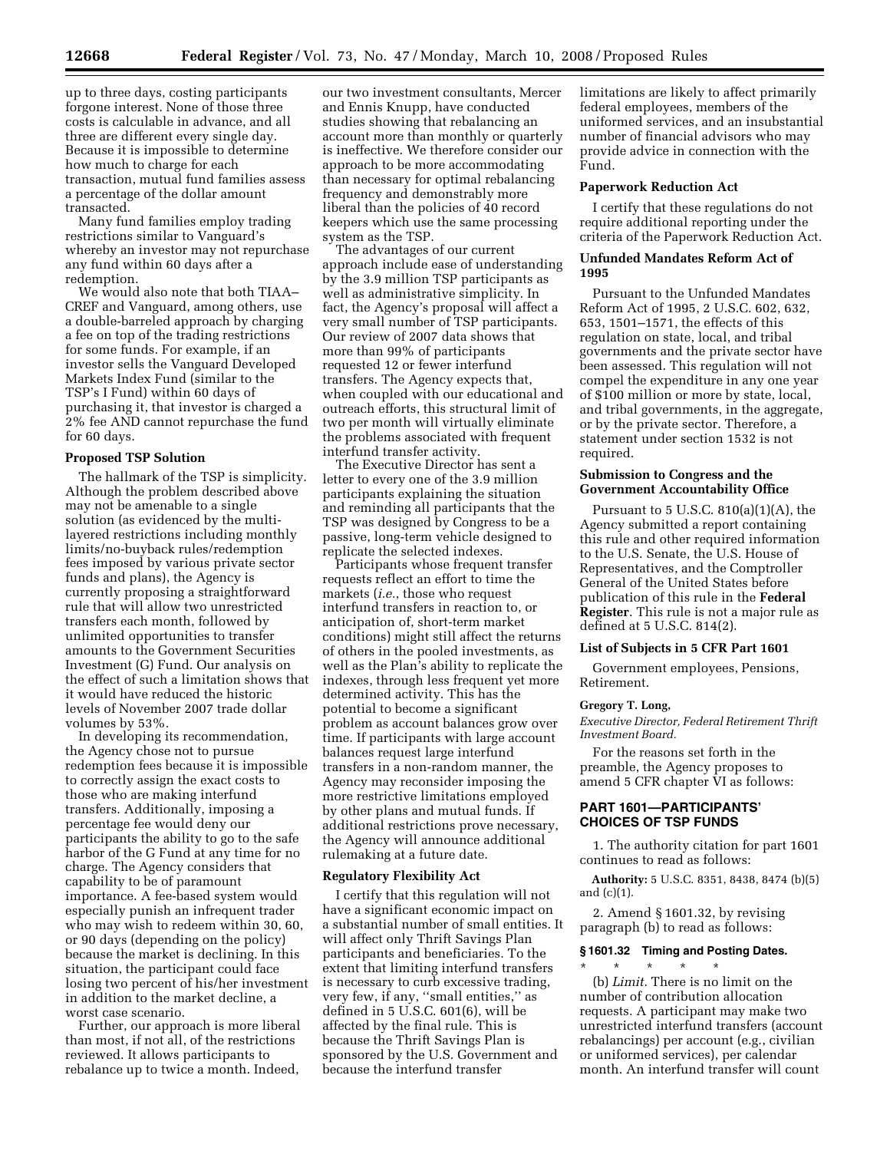how much to charge for each transaction, mutual fund families assess a percentage of the dollar amount transacted.

Many fund families employ trading restrictions similar to Vanguard's whereby an investor may not repurchase any fund within 60 days after a redemption.

We would also note that both TIAA– CREF and Vanguard, among others, use a double-barreled approach by charging a fee on top of the trading restrictions for some funds. For example, if an investor sells the Vanguard Developed Markets Index Fund (similar to the TSP's I Fund) within 60 days of purchasing it, that investor is charged a 2% fee AND cannot repurchase the fund for 60 days.

### **Proposed TSP Solution**

The hallmark of the TSP is simplicity. Although the problem described above may not be amenable to a single solution (as evidenced by the multilayered restrictions including monthly limits/no-buyback rules/redemption fees imposed by various private sector funds and plans), the Agency is currently proposing a straightforward rule that will allow two unrestricted transfers each month, followed by unlimited opportunities to transfer amounts to the Government Securities Investment (G) Fund. Our analysis on the effect of such a limitation shows that it would have reduced the historic levels of November 2007 trade dollar volumes by 53%.

In developing its recommendation, the Agency chose not to pursue redemption fees because it is impossible to correctly assign the exact costs to those who are making interfund transfers. Additionally, imposing a percentage fee would deny our participants the ability to go to the safe harbor of the G Fund at any time for no charge. The Agency considers that capability to be of paramount importance. A fee-based system would especially punish an infrequent trader who may wish to redeem within 30, 60, or 90 days (depending on the policy) because the market is declining. In this situation, the participant could face losing two percent of his/her investment in addition to the market decline, a worst case scenario.

Further, our approach is more liberal than most, if not all, of the restrictions reviewed. It allows participants to rebalance up to twice a month. Indeed,

our two investment consultants, Mercer and Ennis Knupp, have conducted studies showing that rebalancing an account more than monthly or quarterly is ineffective. We therefore consider our approach to be more accommodating than necessary for optimal rebalancing frequency and demonstrably more liberal than the policies of 40 record keepers which use the same processing system as the TSP.

The advantages of our current approach include ease of understanding by the 3.9 million TSP participants as well as administrative simplicity. In fact, the Agency's proposal will affect a very small number of TSP participants. Our review of 2007 data shows that more than 99% of participants requested 12 or fewer interfund transfers. The Agency expects that, when coupled with our educational and outreach efforts, this structural limit of two per month will virtually eliminate the problems associated with frequent interfund transfer activity.

The Executive Director has sent a letter to every one of the 3.9 million participants explaining the situation and reminding all participants that the TSP was designed by Congress to be a passive, long-term vehicle designed to replicate the selected indexes.

Participants whose frequent transfer requests reflect an effort to time the markets (*i.e.*, those who request interfund transfers in reaction to, or anticipation of, short-term market conditions) might still affect the returns of others in the pooled investments, as well as the Plan's ability to replicate the indexes, through less frequent yet more determined activity. This has the potential to become a significant problem as account balances grow over time. If participants with large account balances request large interfund transfers in a non-random manner, the Agency may reconsider imposing the more restrictive limitations employed by other plans and mutual funds. If additional restrictions prove necessary, the Agency will announce additional rulemaking at a future date.

#### **Regulatory Flexibility Act**

I certify that this regulation will not have a significant economic impact on a substantial number of small entities. It will affect only Thrift Savings Plan participants and beneficiaries. To the extent that limiting interfund transfers is necessary to curb excessive trading, very few, if any, ''small entities,'' as defined in 5 U.S.C. 601(6), will be affected by the final rule. This is because the Thrift Savings Plan is sponsored by the U.S. Government and because the interfund transfer

limitations are likely to affect primarily federal employees, members of the uniformed services, and an insubstantial number of financial advisors who may provide advice in connection with the Fund.

#### **Paperwork Reduction Act**

I certify that these regulations do not require additional reporting under the criteria of the Paperwork Reduction Act.

## **Unfunded Mandates Reform Act of 1995**

Pursuant to the Unfunded Mandates Reform Act of 1995, 2 U.S.C. 602, 632, 653, 1501–1571, the effects of this regulation on state, local, and tribal governments and the private sector have been assessed. This regulation will not compel the expenditure in any one year of \$100 million or more by state, local, and tribal governments, in the aggregate, or by the private sector. Therefore, a statement under section 1532 is not required.

# **Submission to Congress and the Government Accountability Office**

Pursuant to  $5$  U.S.C.  $810(a)(1)(A)$ , the Agency submitted a report containing this rule and other required information to the U.S. Senate, the U.S. House of Representatives, and the Comptroller General of the United States before publication of this rule in the **Federal Register**. This rule is not a major rule as defined at 5 U.S.C. 814(2).

# **List of Subjects in 5 CFR Part 1601**

Government employees, Pensions, Retirement.

#### **Gregory T. Long,**

*Executive Director, Federal Retirement Thrift Investment Board.* 

For the reasons set forth in the preamble, the Agency proposes to amend 5 CFR chapter VI as follows:

# **PART 1601—PARTICIPANTS' CHOICES OF TSP FUNDS**

1. The authority citation for part 1601 continues to read as follows:

**Authority:** 5 U.S.C. 8351, 8438, 8474 (b)(5) and (c)(1).

2. Amend § 1601.32, by revising paragraph (b) to read as follows:

#### **§ 1601.32 Timing and Posting Dates.**

\* \* \* \* \* (b) *Limit.* There is no limit on the number of contribution allocation requests. A participant may make two unrestricted interfund transfers (account rebalancings) per account (e.g., civilian or uniformed services), per calendar month. An interfund transfer will count